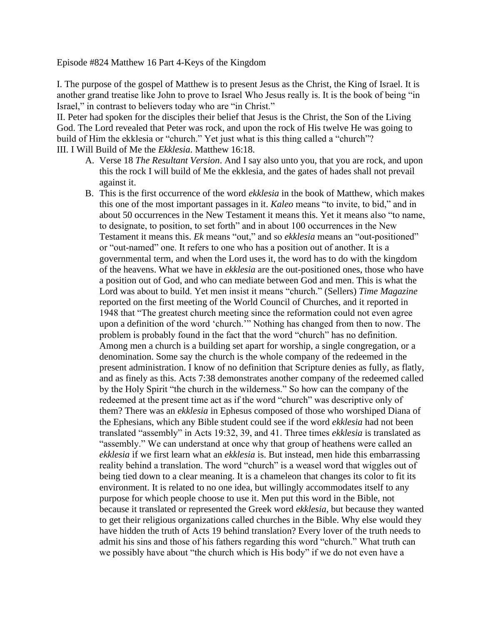Episode #824 Matthew 16 Part 4-Keys of the Kingdom

I. The purpose of the gospel of Matthew is to present Jesus as the Christ, the King of Israel. It is another grand treatise like John to prove to Israel Who Jesus really is. It is the book of being "in Israel," in contrast to believers today who are "in Christ."

II. Peter had spoken for the disciples their belief that Jesus is the Christ, the Son of the Living God. The Lord revealed that Peter was rock, and upon the rock of His twelve He was going to build of Him the ekklesia or "church." Yet just what is this thing called a "church"? III. I Will Build of Me the *Ekklesia*. Matthew 16:18.

- A. Verse 18 *The Resultant Version*. And I say also unto you, that you are rock, and upon this the rock I will build of Me the ekklesia, and the gates of hades shall not prevail against it.
- B. This is the first occurrence of the word *ekklesia* in the book of Matthew, which makes this one of the most important passages in it. *Kaleo* means "to invite, to bid," and in about 50 occurrences in the New Testament it means this. Yet it means also "to name, to designate, to position, to set forth" and in about 100 occurrences in the New Testament it means this. *Ek* means "out," and so *ekklesia* means an "out-positioned" or "out-named" one. It refers to one who has a position out of another. It is a governmental term, and when the Lord uses it, the word has to do with the kingdom of the heavens. What we have in *ekklesia* are the out-positioned ones, those who have a position out of God, and who can mediate between God and men. This is what the Lord was about to build. Yet men insist it means "church." (Sellers) *Time Magazine* reported on the first meeting of the World Council of Churches, and it reported in 1948 that "The greatest church meeting since the reformation could not even agree upon a definition of the word 'church.'" Nothing has changed from then to now. The problem is probably found in the fact that the word "church" has no definition. Among men a church is a building set apart for worship, a single congregation, or a denomination. Some say the church is the whole company of the redeemed in the present administration. I know of no definition that Scripture denies as fully, as flatly, and as finely as this. Acts 7:38 demonstrates another company of the redeemed called by the Holy Spirit "the church in the wilderness." So how can the company of the redeemed at the present time act as if the word "church" was descriptive only of them? There was an *ekklesia* in Ephesus composed of those who worshiped Diana of the Ephesians, which any Bible student could see if the word *ekklesia* had not been translated "assembly" in Acts 19:32, 39, and 41. Three times *ekklesia* is translated as "assembly." We can understand at once why that group of heathens were called an *ekklesia* if we first learn what an *ekklesia* is. But instead, men hide this embarrassing reality behind a translation. The word "church" is a weasel word that wiggles out of being tied down to a clear meaning. It is a chameleon that changes its color to fit its environment. It is related to no one idea, but willingly accommodates itself to any purpose for which people choose to use it. Men put this word in the Bible, not because it translated or represented the Greek word *ekklesia*, but because they wanted to get their religious organizations called churches in the Bible. Why else would they have hidden the truth of Acts 19 behind translation? Every lover of the truth needs to admit his sins and those of his fathers regarding this word "church." What truth can we possibly have about "the church which is His body" if we do not even have a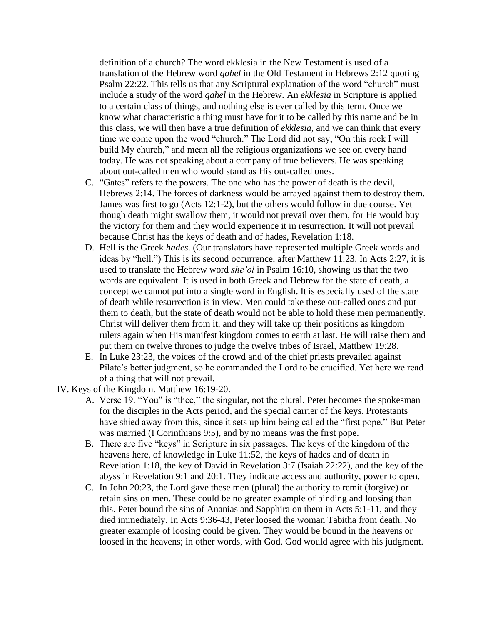definition of a church? The word ekklesia in the New Testament is used of a translation of the Hebrew word *qahel* in the Old Testament in Hebrews 2:12 quoting Psalm 22:22. This tells us that any Scriptural explanation of the word "church" must include a study of the word *qahel* in the Hebrew. An *ekklesia* in Scripture is applied to a certain class of things, and nothing else is ever called by this term. Once we know what characteristic a thing must have for it to be called by this name and be in this class, we will then have a true definition of *ekklesia*, and we can think that every time we come upon the word "church." The Lord did not say, "On this rock I will build My church," and mean all the religious organizations we see on every hand today. He was not speaking about a company of true believers. He was speaking about out-called men who would stand as His out-called ones.

- C. "Gates" refers to the powers. The one who has the power of death is the devil, Hebrews 2:14. The forces of darkness would be arrayed against them to destroy them. James was first to go (Acts 12:1-2), but the others would follow in due course. Yet though death might swallow them, it would not prevail over them, for He would buy the victory for them and they would experience it in resurrection. It will not prevail because Christ has the keys of death and of hades, Revelation 1:18.
- D. Hell is the Greek *hades*. (Our translators have represented multiple Greek words and ideas by "hell.") This is its second occurrence, after Matthew 11:23. In Acts 2:27, it is used to translate the Hebrew word *she'ol* in Psalm 16:10, showing us that the two words are equivalent. It is used in both Greek and Hebrew for the state of death, a concept we cannot put into a single word in English. It is especially used of the state of death while resurrection is in view. Men could take these out-called ones and put them to death, but the state of death would not be able to hold these men permanently. Christ will deliver them from it, and they will take up their positions as kingdom rulers again when His manifest kingdom comes to earth at last. He will raise them and put them on twelve thrones to judge the twelve tribes of Israel, Matthew 19:28.
- E. In Luke 23:23, the voices of the crowd and of the chief priests prevailed against Pilate's better judgment, so he commanded the Lord to be crucified. Yet here we read of a thing that will not prevail.
- IV. Keys of the Kingdom. Matthew 16:19-20.
	- A. Verse 19. "You" is "thee," the singular, not the plural. Peter becomes the spokesman for the disciples in the Acts period, and the special carrier of the keys. Protestants have shied away from this, since it sets up him being called the "first pope." But Peter was married (I Corinthians 9:5), and by no means was the first pope.
	- B. There are five "keys" in Scripture in six passages. The keys of the kingdom of the heavens here, of knowledge in Luke 11:52, the keys of hades and of death in Revelation 1:18, the key of David in Revelation 3:7 (Isaiah 22:22), and the key of the abyss in Revelation 9:1 and 20:1. They indicate access and authority, power to open.
	- C. In John 20:23, the Lord gave these men (plural) the authority to remit (forgive) or retain sins on men. These could be no greater example of binding and loosing than this. Peter bound the sins of Ananias and Sapphira on them in Acts 5:1-11, and they died immediately. In Acts 9:36-43, Peter loosed the woman Tabitha from death. No greater example of loosing could be given. They would be bound in the heavens or loosed in the heavens; in other words, with God. God would agree with his judgment.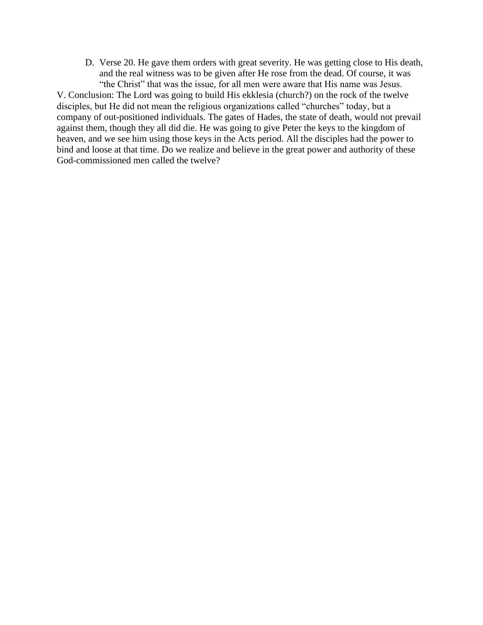D. Verse 20. He gave them orders with great severity. He was getting close to His death, and the real witness was to be given after He rose from the dead. Of course, it was "the Christ" that was the issue, for all men were aware that His name was Jesus.

V. Conclusion: The Lord was going to build His ekklesia (church?) on the rock of the twelve disciples, but He did not mean the religious organizations called "churches" today, but a company of out-positioned individuals. The gates of Hades, the state of death, would not prevail against them, though they all did die. He was going to give Peter the keys to the kingdom of heaven, and we see him using those keys in the Acts period. All the disciples had the power to bind and loose at that time. Do we realize and believe in the great power and authority of these God-commissioned men called the twelve?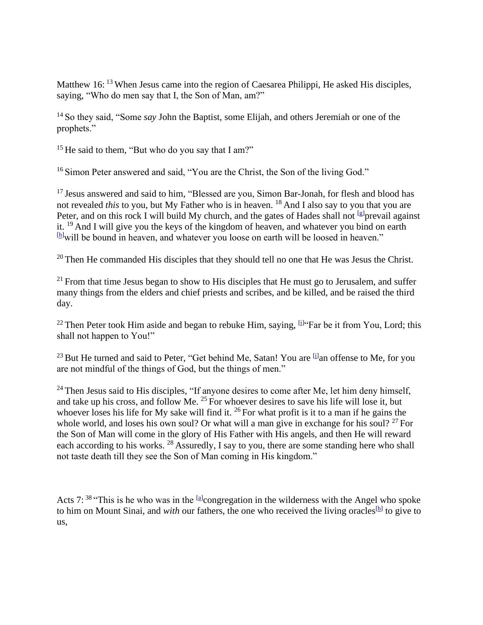Matthew 16: <sup>13</sup> When Jesus came into the region of Caesarea Philippi, He asked His disciples, saying, "Who do men say that I, the Son of Man, am?"

<sup>14</sup> So they said, "Some *say* John the Baptist, some Elijah, and others Jeremiah or one of the prophets."

<sup>15</sup> He said to them, "But who do you say that I am?"

<sup>16</sup> Simon Peter answered and said, "You are the Christ, the Son of the living God."

<sup>17</sup> Jesus answered and said to him, "Blessed are you, Simon Bar-Jonah, for flesh and blood has not revealed *this* to you, but My Father who is in heaven. <sup>18</sup> And I also say to you that you are Peter, and on this rock I will build My church, and the gates of Hades shall not <sup>[g]</sup> prevail against it. <sup>19</sup> And I will give you the keys of the kingdom of heaven, and whatever you bind on earth [h]will be bound in heaven, and whatever you loose on earth will be loosed in heaven."

 $20$  Then He commanded His disciples that they should tell no one that He was Jesus the Christ.

 $21$  From that time Jesus began to show to His disciples that He must go to Jerusalem, and suffer many things from the elders and chief priests and scribes, and be killed, and be raised the third day.

<sup>22</sup> Then Peter took Him aside and began to rebuke Him, saying,  $[1]$ <sup>t</sup> Far be it from You, Lord; this shall not happen to You!"

 $^{23}$  But He turned and said to Peter, "Get behind Me, Satan! You are  $^{[j]}$ an offense to Me, for you are not mindful of the things of God, but the things of men."

<sup>24</sup> Then Jesus said to His disciples, "If anyone desires to come after Me, let him deny himself, and take up his cross, and follow Me. <sup>25</sup> For whoever desires to save his life will lose it, but whoever loses his life for My sake will find it. <sup>26</sup> For what profit is it to a man if he gains the whole world, and loses his own soul? Or what will a man give in exchange for his soul?  $27$  For the Son of Man will come in the glory of His Father with His angels, and then He will reward each according to his works. <sup>28</sup> Assuredly, I say to you, there are some standing here who shall not taste death till they see the Son of Man coming in His kingdom."

Acts 7:  $38$  "This is he who was in the  $\left[\frac{a}{2}\right]$ congregation in the wilderness with the Angel who spoke to him on Mount Sinai, and *with* our fathers, the one who received the living oracles<sup>[b]</sup> to give to us,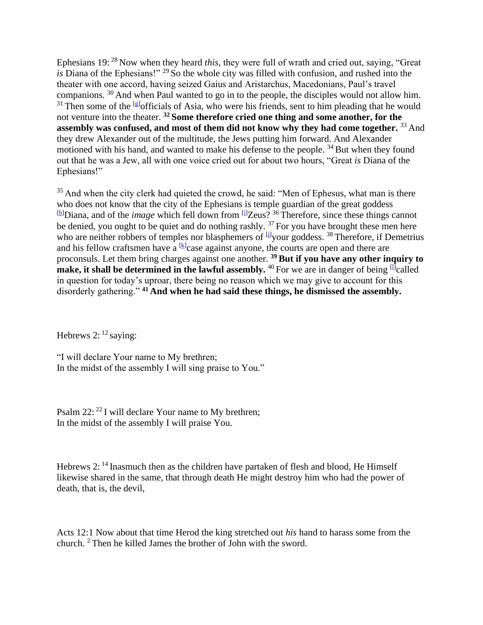Ephesians 19: <sup>28</sup> Now when they heard *this,* they were full of wrath and cried out, saying, "Great *is* Diana of the Ephesians!" <sup>29</sup> So the whole city was filled with confusion, and rushed into the theater with one accord, having seized Gaius and Aristarchus, Macedonians, Paul's travel companions. <sup>30</sup> And when Paul wanted to go in to the people, the disciples would not allow him.  $31$  Then some of the <sup>[g]</sup> officials of Asia, who were his friends, sent to him pleading that he would not venture into the theater. **<sup>32</sup> Some therefore cried one thing and some another, for the assembly was confused, and most of them did not know why they had come together.** <sup>33</sup> And they drew Alexander out of the multitude, the Jews putting him forward. And Alexander motioned with his hand, and wanted to make his defense to the people. <sup>34</sup> But when they found out that he was a Jew, all with one voice cried out for about two hours, "Great *is* Diana of the Ephesians!"

 $35$  And when the city clerk had quieted the crowd, he said: "Men of Ephesus, what man is there who does not know that the city of the Ephesians is temple guardian of the great goddess [h]Diana, and of the *image* which fell down from <sup>[i]</sup>Zeus?<sup>36</sup> Therefore, since these things cannot be denied, you ought to be quiet and do nothing rashly.  $37$  For you have brought these men here who are neither robbers of temples nor blasphemers of <sup>[j]</sup>your goddess.<sup>38</sup> Therefore, if Demetrius and his fellow craftsmen have a  $[k]$  case against anyone, the courts are open and there are proconsuls. Let them bring charges against one another. **<sup>39</sup> But if you have any other inquiry to make, it shall be determined in the lawful assembly.**  $40$  For we are in danger of being  $\boxed{11}$  called in question for today's uproar, there being no reason which we may give to account for this disorderly gathering." **<sup>41</sup> And when he had said these things, he dismissed the assembly.**

Hebrews 2:  $12$  saying:

"I will declare Your name to My brethren; In the midst of the assembly I will sing praise to You."

Psalm 22: <sup>22</sup> I will declare Your name to My brethren; In the midst of the assembly I will praise You.

Hebrews 2: <sup>14</sup> Inasmuch then as the children have partaken of flesh and blood, He Himself likewise shared in the same, that through death He might destroy him who had the power of death, that is, the devil,

Acts 12:1 Now about that time Herod the king stretched out *his* hand to harass some from the church. <sup>2</sup> Then he killed James the brother of John with the sword.